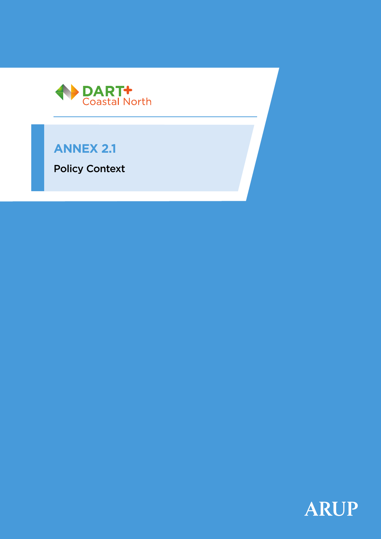

# **ANNEX 2.1**

Policy Context

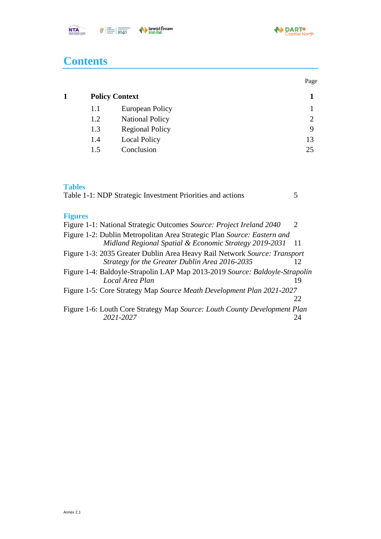

Page

# **Contents**

| <b>Policy Context</b> |                        |    |
|-----------------------|------------------------|----|
| 1.1                   | European Policy        |    |
| 1.2                   | <b>National Policy</b> | 2  |
| 1.3                   | <b>Regional Policy</b> | 9  |
| 1.4                   | <b>Local Policy</b>    | 13 |
| 15                    | Conclusion             | つう |

## **Tables**

| Table 1-1: NDP Strategic Investment Priorities and actions                                                                        |                             |
|-----------------------------------------------------------------------------------------------------------------------------------|-----------------------------|
| <b>Figures</b>                                                                                                                    |                             |
| Figure 1-1: National Strategic Outcomes Source: Project Ireland 2040                                                              | $\mathcal{D}_{\mathcal{L}}$ |
| Figure 1-2: Dublin Metropolitan Area Strategic Plan Source: Eastern and<br>Midland Regional Spatial & Economic Strategy 2019-2031 | 11                          |
| Figure 1-3: 2035 Greater Dublin Area Heavy Rail Network Source: Transport<br>Strategy for the Greater Dublin Area 2016-2035       | 12                          |
| Figure 1-4: Baldoyle-Strapolin LAP Map 2013-2019 Source: Baldoyle-Strapolin<br>Local Area Plan                                    | 19                          |
| Figure 1-5: Core Strategy Map Source Meath Development Plan 2021-2027                                                             | 22                          |
| Figure 1-6: Louth Core Strategy Map Source: Louth County Development Plan<br>2021-2027                                            | 24                          |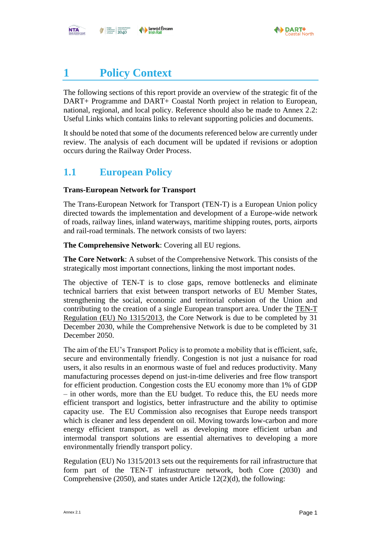

# <span id="page-2-0"></span>**1 Policy Context**

The following sections of this report provide an overview of the strategic fit of the DART+ Programme and DART+ Coastal North project in relation to European, national, regional, and local policy. Reference should also be made to Annex 2.2: Useful Links which contains links to relevant supporting policies and documents.

It should be noted that some of the documents referenced below are currently under review. The analysis of each document will be updated if revisions or adoption occurs during the Railway Order Process.

# <span id="page-2-1"></span>**1.1 European Policy**

#### **Trans-European Network for Transport**

The Trans-European Network for Transport (TEN-T) is a European Union policy directed towards the implementation and development of a Europe-wide network of roads, railway lines, inland waterways, maritime shipping routes, ports, airports and rail-road terminals. The network consists of two layers:

**The Comprehensive Network**: Covering all EU regions.

**The Core Network**: A subset of the Comprehensive Network. This consists of the strategically most important connections, linking the most important nodes.

The objective of TEN-T is to close gaps, remove bottlenecks and eliminate technical barriers that exist between transport networks of EU Member States, strengthening the social, economic and territorial cohesion of the Union and contributing to the creation of a single European transport area. Under the [TEN-T](http://publications.europa.eu/resource/cellar/f277232a-699e-11e3-8e4e-01aa75ed71a1.0006.01/DOC_1)  [Regulation \(EU\) No 1315/2013,](http://publications.europa.eu/resource/cellar/f277232a-699e-11e3-8e4e-01aa75ed71a1.0006.01/DOC_1) the Core Network is due to be completed by 31 December 2030, while the Comprehensive Network is due to be completed by 31 December 2050.

The aim of the EU's Transport Policy is to promote a mobility that is efficient, safe, secure and environmentally friendly. Congestion is not just a nuisance for road users, it also results in an enormous waste of fuel and reduces productivity. Many manufacturing processes depend on just-in-time deliveries and free flow transport for efficient production. Congestion costs the EU economy more than 1% of GDP – in other words, more than the EU budget. To reduce this, the EU needs more efficient transport and logistics, better infrastructure and the ability to optimise capacity use. The EU Commission also recognises that Europe needs transport which is cleaner and less dependent on oil. Moving towards low-carbon and more energy efficient transport, as well as developing more efficient urban and intermodal transport solutions are essential alternatives to developing a more environmentally friendly transport policy.

Regulation (EU) No 1315/2013 sets out the requirements for rail infrastructure that form part of the TEN-T infrastructure network, both Core (2030) and Comprehensive (2050), and states under Article 12(2)(d), the following: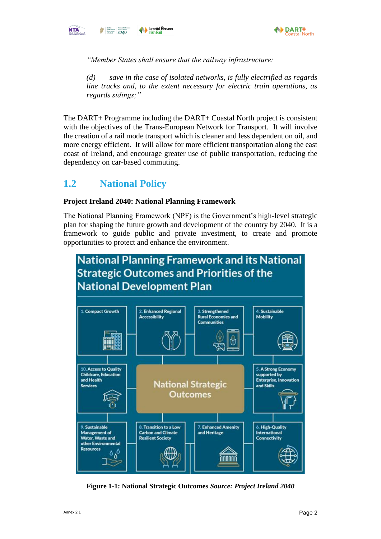



*"Member States shall ensure that the railway infrastructure:*

*(d) save in the case of isolated networks, is fully electrified as regards line tracks and, to the extent necessary for electric train operations, as regards sidings;"*

The DART+ Programme including the DART+ Coastal North project is consistent with the objectives of the Trans-European Network for Transport. It will involve the creation of a rail mode transport which is cleaner and less dependent on oil, and more energy efficient. It will allow for more efficient transportation along the east coast of Ireland, and encourage greater use of public transportation, reducing the dependency on car-based commuting.

# <span id="page-3-0"></span>**1.2 National Policy**

### **Project Ireland 2040: National Planning Framework**

The National Planning Framework (NPF) is the Government's high-level strategic plan for shaping the future growth and development of the country by 2040. It is a framework to guide public and private investment, to create and promote opportunities to protect and enhance the environment.



<span id="page-3-1"></span>**Figure 1-1: National Strategic Outcomes** *Source: Project Ireland 2040*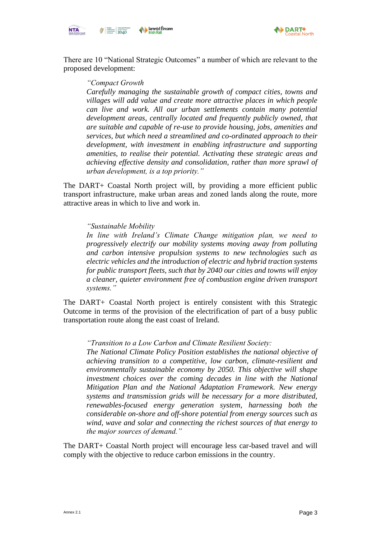



There are 10 "National Strategic Outcomes" a number of which are relevant to the proposed development:

#### *"Compact Growth*

*Carefully managing the sustainable growth of compact cities, towns and villages will add value and create more attractive places in which people can live and work. All our urban settlements contain many potential development areas, centrally located and frequently publicly owned, that are suitable and capable of re-use to provide housing, jobs, amenities and services, but which need a streamlined and co-ordinated approach to their development, with investment in enabling infrastructure and supporting amenities, to realise their potential. Activating these strategic areas and achieving effective density and consolidation, rather than more sprawl of urban development, is a top priority."*

The DART+ Coastal North project will, by providing a more efficient public transport infrastructure, make urban areas and zoned lands along the route, more attractive areas in which to live and work in.

#### *"Sustainable Mobility*

*In line with Ireland's Climate Change mitigation plan, we need to progressively electrify our mobility systems moving away from polluting and carbon intensive propulsion systems to new technologies such as electric vehicles and the introduction of electric and hybrid traction systems for public transport fleets, such that by 2040 our cities and towns will enjoy a cleaner, quieter environment free of combustion engine driven transport systems."*

The DART+ Coastal North project is entirely consistent with this Strategic Outcome in terms of the provision of the electrification of part of a busy public transportation route along the east coast of Ireland.

#### *"Transition to a Low Carbon and Climate Resilient Society:*

*The National Climate Policy Position establishes the national objective of achieving transition to a competitive, low carbon, climate-resilient and environmentally sustainable economy by 2050. This objective will shape investment choices over the coming decades in line with the National Mitigation Plan and the National Adaptation Framework. New energy systems and transmission grids will be necessary for a more distributed, renewables-focused energy generation system, harnessing both the considerable on-shore and off-shore potential from energy sources such as wind, wave and solar and connecting the richest sources of that energy to the major sources of demand."*

The DART+ Coastal North project will encourage less car-based travel and will comply with the objective to reduce carbon emissions in the country.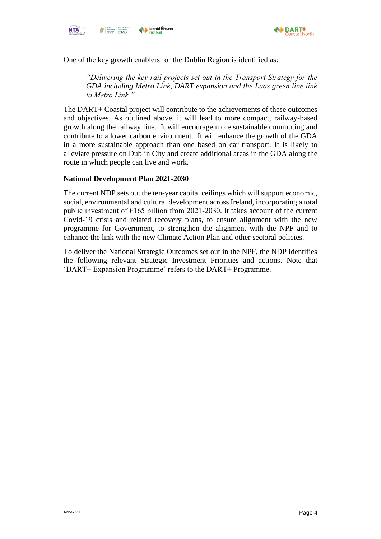



One of the key growth enablers for the Dublin Region is identified as:

*"Delivering the key rail projects set out in the Transport Strategy for the GDA including Metro Link, DART expansion and the Luas green line link to Metro Link."*

The DART+ Coastal project will contribute to the achievements of these outcomes and objectives. As outlined above, it will lead to more compact, railway-based growth along the railway line. It will encourage more sustainable commuting and contribute to a lower carbon environment. It will enhance the growth of the GDA in a more sustainable approach than one based on car transport. It is likely to alleviate pressure on Dublin City and create additional areas in the GDA along the route in which people can live and work.

#### **National Development Plan 2021-2030**

The current NDP sets out the ten-year capital ceilings which will support economic, social, environmental and cultural development across Ireland, incorporating a total public investment of  $\epsilon$ 165 billion from 2021-2030. It takes account of the current Covid-19 crisis and related recovery plans, to ensure alignment with the new programme for Government, to strengthen the alignment with the NPF and to enhance the link with the new Climate Action Plan and other sectoral policies.

To deliver the National Strategic Outcomes set out in the NPF, the NDP identifies the following relevant Strategic Investment Priorities and actions. Note that 'DART+ Expansion Programme' refers to the DART+ Programme.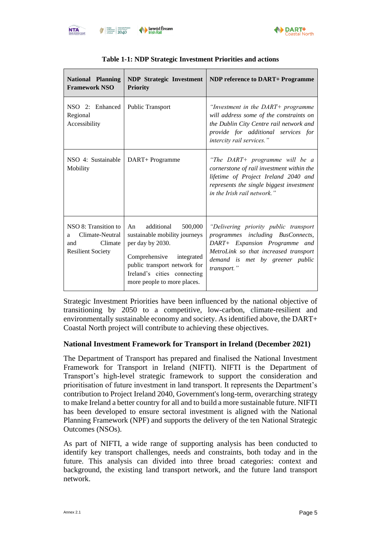

North



<span id="page-6-0"></span>

| <b>National Planning</b><br><b>Framework NSO</b>                                           | <b>NDP</b> Strategic Investment<br><b>Priority</b>                                                                                                                                                         | <b>NDP</b> reference to DART+ Programme                                                                                                                                                                |
|--------------------------------------------------------------------------------------------|------------------------------------------------------------------------------------------------------------------------------------------------------------------------------------------------------------|--------------------------------------------------------------------------------------------------------------------------------------------------------------------------------------------------------|
| NSO 2: Enhanced<br>Regional<br>Accessibility                                               | <b>Public Transport</b>                                                                                                                                                                                    | "Investment in the $DART+$ programme"<br>will address some of the constraints on<br>the Dublin City Centre rail network and<br>provide for additional services for<br>intercity rail services."        |
| NSO 4: Sustainable<br>Mobility                                                             | DART+ Programme                                                                                                                                                                                            | "The DART+ programme will be a<br>cornerstone of rail investment within the<br>lifetime of Project Ireland 2040 and<br>represents the single biggest investment<br>in the Irish rail network."         |
| NSO 8: Transition to<br>Climate-Neutral<br>a<br>Climate<br>and<br><b>Resilient Society</b> | additional 500,000<br>An<br>sustainable mobility journeys<br>per day by 2030.<br>Comprehensive<br>integrated<br>public transport network for<br>Ireland's cities connecting<br>more people to more places. | "Delivering priority public transport<br>programmes including BusConnects,<br>DART+ Expansion Programme and<br>MetroLink so that increased transport<br>demand is met by greener public<br>transport." |

Strategic Investment Priorities have been influenced by the national objective of transitioning by 2050 to a competitive, low-carbon, climate-resilient and environmentally sustainable economy and society. As identified above, the DART+ Coastal North project will contribute to achieving these objectives.

#### **National Investment Framework for Transport in Ireland (December 2021)**

The Department of Transport has prepared and finalised the National Investment Framework for Transport in Ireland (NIFTI). NIFTI is the Department of Transport's high-level strategic framework to support the consideration and prioritisation of future investment in land transport. It represents the Department's contribution to Project Ireland 2040, Government's long-term, overarching strategy to make Ireland a better country for all and to build a more sustainable future. NIFTI has been developed to ensure sectoral investment is aligned with the National Planning Framework (NPF) and supports the delivery of the ten National Strategic Outcomes (NSOs).

As part of NIFTI, a wide range of supporting analysis has been conducted to identify key transport challenges, needs and constraints, both today and in the future. This analysis can divided into three broad categories: context and background, the existing land transport network, and the future land transport network.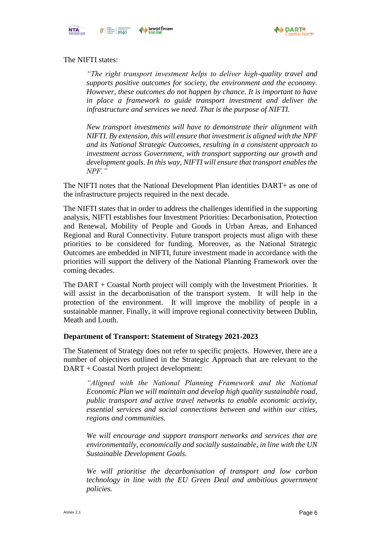



#### The NIFTI states:

*"The right transport investment helps to deliver high-quality travel and supports positive outcomes for society, the environment and the economy. However, these outcomes do not happen by chance. It is important to have in place a framework to guide transport investment and deliver the infrastructure and services we need. That is the purpose of NIFTI.* 

*New transport investments will have to demonstrate their alignment with NIFTI. By extension, this will ensure that investment is aligned with the NPF and its National Strategic Outcomes, resulting in a consistent approach to investment across Government, with transport supporting our growth and development goals. In this way, NIFTI will ensure that transport enables the NPF."*

The NIFTI notes that the National Development Plan identities DART+ as one of the infrastructure projects required in the next decade.

The NIFTI states that in order to address the challenges identified in the supporting analysis, NIFTI establishes four Investment Priorities: Decarbonisation, Protection and Renewal, Mobility of People and Goods in Urban Areas, and Enhanced Regional and Rural Connectivity. Future transport projects must align with these priorities to be considered for funding. Moreover, as the National Strategic Outcomes are embedded in NIFTI, future investment made in accordance with the priorities will support the delivery of the National Planning Framework over the coming decades.

The DART + Coastal North project will comply with the Investment Priorities. It will assist in the decarbonisation of the transport system. It will help in the protection of the environment. It will improve the mobility of people in a sustainable manner. Finally, it will improve regional connectivity between Dublin, Meath and Louth.

#### **Department of Transport: Statement of Strategy 2021-2023**

The Statement of Strategy does not refer to specific projects. However, there are a number of objectives outlined in the Strategic Approach that are relevant to the DART + Coastal North project development:

*"Aligned with the National Planning Framework and the National Economic Plan we will maintain and develop high quality sustainable road, public transport and active travel networks to enable economic activity, essential services and social connections between and within our cities, regions and communities.* 

*We will encourage and support transport networks and services that are environmentally, economically and socially sustainable, in line with the UN Sustainable Development Goals.* 

*We will prioritise the decarbonisation of transport and low carbon technology in line with the EU Green Deal and ambitious government policies.*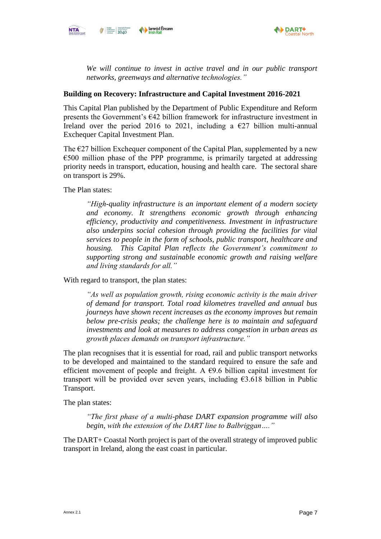



*We will continue to invest in active travel and in our public transport networks, greenways and alternative technologies."*

#### **Building on Recovery: Infrastructure and Capital Investment 2016-2021**

This Capital Plan published by the Department of Public Expenditure and Reform presents the Government's  $E(42)$  billion framework for infrastructure investment in Ireland over the period 2016 to 2021, including a  $\epsilon$ 27 billion multi-annual Exchequer Capital Investment Plan.

The  $E27$  billion Exchequer component of the Capital Plan, supplemented by a new €500 million phase of the PPP programme, is primarily targeted at addressing priority needs in transport, education, housing and health care. The sectoral share on transport is 29%.

The Plan states:

*"High-quality infrastructure is an important element of a modern society and economy. It strengthens economic growth through enhancing efficiency, productivity and competitiveness. Investment in infrastructure also underpins social cohesion through providing the facilities for vital services to people in the form of schools, public transport, healthcare and housing. This Capital Plan reflects the Government's commitment to supporting strong and sustainable economic growth and raising welfare and living standards for all."*

With regard to transport, the plan states:

*As well as population growth, rising economic activity is the main driver of demand for transport. Total road kilometres travelled and annual bus journeys have shown recent increases as the economy improves but remain below pre-crisis peaks; the challenge here is to maintain and safeguard investments and look at measures to address congestion in urban areas as growth places demands on transport infrastructure."*

The plan recognises that it is essential for road, rail and public transport networks to be developed and maintained to the standard required to ensure the safe and efficient movement of people and freight. A  $\epsilon$ 9.6 billion capital investment for transport will be provided over seven years, including  $63.618$  billion in Public Transport.

The plan states:

*"The first phase of a multi-phase DART expansion programme will also begin, with the extension of the DART line to Balbriggan…."*

The DART+ Coastal North project is part of the overall strategy of improved public transport in Ireland, along the east coast in particular.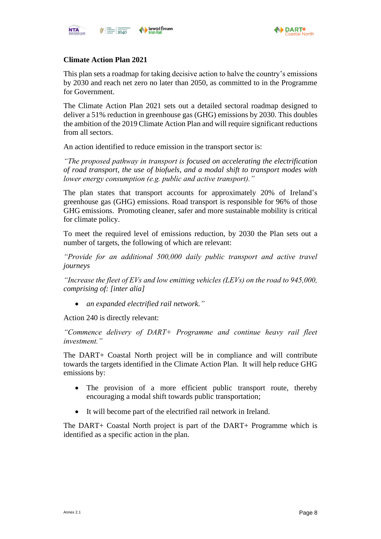

### **Climate Action Plan 2021**

This plan sets a roadmap for taking decisive action to halve the country's emissions by 2030 and reach net zero no later than 2050, as committed to in the Programme for Government.

The Climate Action Plan 2021 sets out a detailed sectoral roadmap designed to deliver a 51% reduction in greenhouse gas (GHG) emissions by 2030. This doubles the ambition of the 2019 Climate Action Plan and will require significant reductions from all sectors.

An action identified to reduce emission in the transport sector is:

*"The proposed pathway in transport is focused on accelerating the electrification of road transport, the use of biofuels, and a modal shift to transport modes with lower energy consumption (e.g. public and active transport)."*

The plan states that transport accounts for approximately 20% of Ireland's greenhouse gas (GHG) emissions. Road transport is responsible for 96% of those GHG emissions. Promoting cleaner, safer and more sustainable mobility is critical for climate policy.

To meet the required level of emissions reduction, by 2030 the Plan sets out a number of targets, the following of which are relevant:

*"Provide for an additional 500,000 daily public transport and active travel journeys* 

*"Increase the fleet of EVs and low emitting vehicles (LEVs) on the road to 945,000, comprising of: [inter alia]* 

• *an expanded electrified rail network."*

Action 240 is directly relevant:

*"Commence delivery of DART+ Programme and continue heavy rail fleet investment."*

The DART+ Coastal North project will be in compliance and will contribute towards the targets identified in the Climate Action Plan. It will help reduce GHG emissions by:

- The provision of a more efficient public transport route, thereby encouraging a modal shift towards public transportation;
- It will become part of the electrified rail network in Ireland.

The DART+ Coastal North project is part of the DART+ Programme which is identified as a specific action in the plan.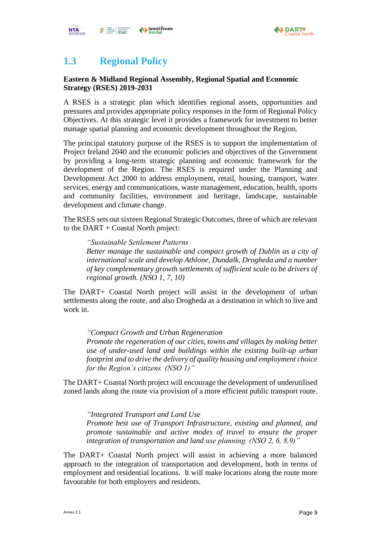



# <span id="page-10-0"></span>**1.3 Regional Policy**

### **Eastern & Midland Regional Assembly, Regional Spatial and Economic Strategy (RSES) 2019-2031**

A RSES is a strategic plan which identifies regional assets, opportunities and pressures and provides appropriate policy responses in the form of Regional Policy Objectives. At this strategic level it provides a framework for investment to better manage spatial planning and economic development throughout the Region.

The principal statutory purpose of the RSES is to support the implementation of Project Ireland 2040 and the economic policies and objectives of the Government by providing a long-term strategic planning and economic framework for the development of the Region. The RSES is required under the Planning and Development Act 2000 to address employment, retail, housing, transport, water services, energy and communications, waste management, education, health, sports and community facilities, environment and heritage, landscape, sustainable development and climate change.

The RSES sets out sixteen Regional Strategic Outcomes, three of which are relevant to the DART + Coastal North project:

*"Sustainable Settlement Patterns Better manage the sustainable and compact growth of Dublin as a city of international scale and develop Athlone, Dundalk, Drogheda and a number of key complementary growth settlements of sufficient scale to be drivers of regional growth. (NSO 1, 7, 10)*

The DART+ Coastal North project will assist in the development of urban settlements along the route, and also Drogheda as a destination in which to live and work in.

*"Compact Growth and Urban Regeneration Promote the regeneration of our cities, towns and villages by making better use of under-used land and buildings within the existing built-up urban footprint and to drive the delivery of quality housing and employment choice for the Region's citizens. (NSO 1)"*

The DART+ Coastal North project will encourage the development of underutilised zoned lands along the route via provision of a more efficient public transport route.

*"Integrated Transport and Land Use Promote best use of Transport Infrastructure, existing and planned, and promote sustainable and active modes of travel to ensure the proper integration of transportation and land use planning. (NSO 2, 6, 8,9)"*

The DART+ Coastal North project will assist in achieving a more balanced approach to the integration of transportation and development, both in terms of employment and residential locations. It will make locations along the route more favourable for both employers and residents.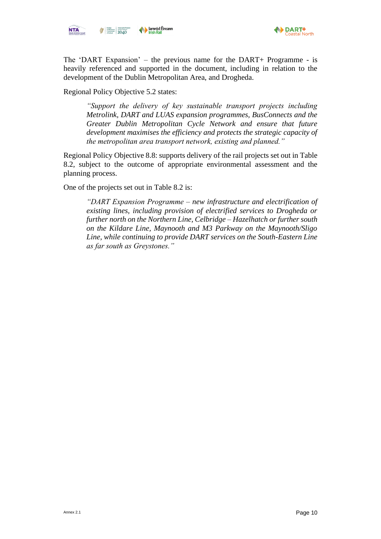



The 'DART Expansion' – the previous name for the DART+ Programme - is heavily referenced and supported in the document, including in relation to the development of the Dublin Metropolitan Area, and Drogheda.

Regional Policy Objective 5.2 states:

*"Support the delivery of key sustainable transport projects including Metrolink, DART and LUAS expansion programmes, BusConnects and the Greater Dublin Metropolitan Cycle Network and ensure that future development maximises the efficiency and protects the strategic capacity of the metropolitan area transport network, existing and planned."*

Regional Policy Objective 8.8: supports delivery of the rail projects set out in Table 8.2, subject to the outcome of appropriate environmental assessment and the planning process.

One of the projects set out in Table 8.2 is:

*"DART Expansion Programme – new infrastructure and electrification of existing lines, including provision of electrified services to Drogheda or further north on the Northern Line, Celbridge – Hazelhatch or further south on the Kildare Line, Maynooth and M3 Parkway on the Maynooth/Sligo Line, while continuing to provide DART services on the South-Eastern Line as far south as Greystones."*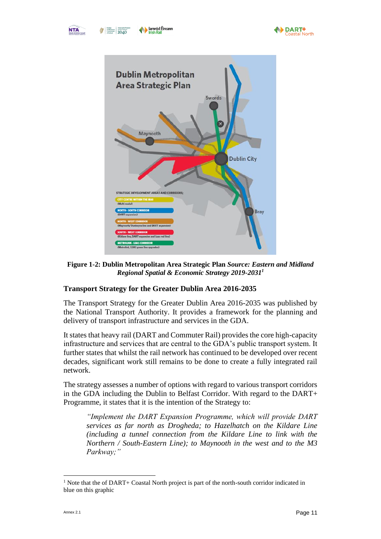



**Figure 1-2: Dublin Metropolitan Area Strategic Plan** *Source: Eastern and Midland Regional Spatial & Economic Strategy 2019-2031<sup>1</sup>*

### <span id="page-12-0"></span>**Transport Strategy for the Greater Dublin Area 2016-2035**

The Transport Strategy for the Greater Dublin Area 2016-2035 was published by the National Transport Authority. It provides a framework for the planning and delivery of transport infrastructure and services in the GDA.

It states that heavy rail (DART and Commuter Rail) provides the core high-capacity infrastructure and services that are central to the GDA's public transport system. It further states that whilst the rail network has continued to be developed over recent decades, significant work still remains to be done to create a fully integrated rail network.

The strategy assesses a number of options with regard to various transport corridors in the GDA including the Dublin to Belfast Corridor. With regard to the DART+ Programme, it states that it is the intention of the Strategy to:

*"Implement the DART Expansion Programme, which will provide DART services as far north as Drogheda; to Hazelhatch on the Kildare Line (including a tunnel connection from the Kildare Line to link with the Northern / South-Eastern Line); to Maynooth in the west and to the M3 Parkway;"*

<sup>&</sup>lt;sup>1</sup> Note that the of DART+ Coastal North project is part of the north-south corridor indicated in blue on this graphic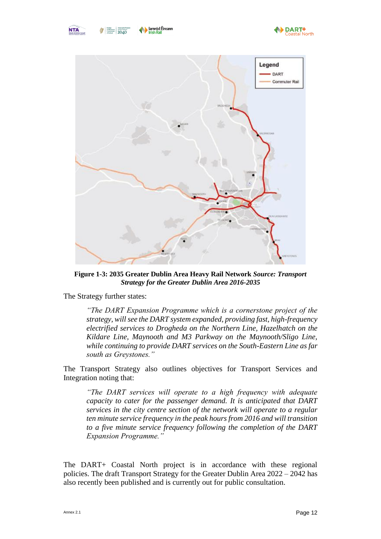

Eightes Tiomscadal Eiro<br>
Bandiment Project Ireland<br>
Covernment 2040



**Figure 1-3: 2035 Greater Dublin Area Heavy Rail Network** *Source: Transport Strategy for the Greater Dublin Area 2016-2035*

<span id="page-13-0"></span>The Strategy further states:

*"The DART Expansion Programme which is a cornerstone project of the strategy, will see the DART system expanded, providing fast, high-frequency electrified services to Drogheda on the Northern Line, Hazelhatch on the Kildare Line, Maynooth and M3 Parkway on the Maynooth/Sligo Line, while continuing to provide DART services on the South-Eastern Line as far south as Greystones."*

The Transport Strategy also outlines objectives for Transport Services and Integration noting that:

*"The DART services will operate to a high frequency with adequate capacity to cater for the passenger demand. It is anticipated that DART services in the city centre section of the network will operate to a regular ten minute service frequency in the peak hours from 2016 and will transition to a five minute service frequency following the completion of the DART Expansion Programme."*

The DART+ Coastal North project is in accordance with these regional policies. The draft Transport Strategy for the Greater Dublin Area 2022 – 2042 has also recently been published and is currently out for public consultation.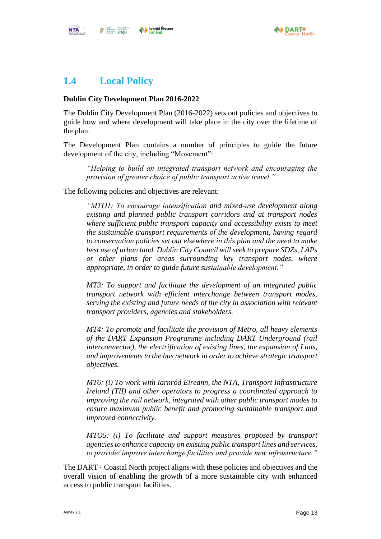

# <span id="page-14-0"></span>**1.4 Local Policy**

#### **Dublin City Development Plan 2016-2022**

The Dublin City Development Plan (2016-2022) sets out policies and objectives to guide how and where development will take place in the city over the lifetime of the plan.

The Development Plan contains a number of principles to guide the future development of the city, including "Movement":

*"Helping to build an integrated transport network and encouraging the provision of greater choice of public transport active travel."*

The following policies and objectives are relevant:

*"MTO1: To encourage intensification and mixed-use development along existing and planned public transport corridors and at transport nodes where sufficient public transport capacity and accessibility exists to meet the sustainable transport requirements of the development, having regard to conservation policies set out elsewhere in this plan and the need to make best use of urban land. Dublin City Council will seek to prepare SDZs, LAPs or other plans for areas surrounding key transport nodes, where appropriate, in order to guide future sustainable development."*

*MT3: To support and facilitate the development of an integrated public transport network with efficient interchange between transport modes, serving the existing and future needs of the city in association with relevant transport providers, agencies and stakeholders.* 

*MT4: To promote and facilitate the provision of Metro, all heavy elements of the DART Expansion Programme including DART Underground (rail interconnector), the electrification of existing lines, the expansion of Luas, and improvements to the bus network in order to achieve strategic transport objectives.*

*MT6: (i) To work with Iarnród Eireann, the NTA, Transport Infrastructure Ireland (TII) and other operators to progress a coordinated approach to improving the rail network, integrated with other public transport modes to ensure maximum public benefit and promoting sustainable transport and improved connectivity.*

*MTO5: (i) To facilitate and support measures proposed by transport agencies to enhance capacity on existing public transport lines and services, to provide/ improve interchange facilities and provide new infrastructure."*

The DART+ Coastal North project aligns with these policies and objectives and the overall vision of enabling the growth of a more sustainable city with enhanced access to public transport facilities.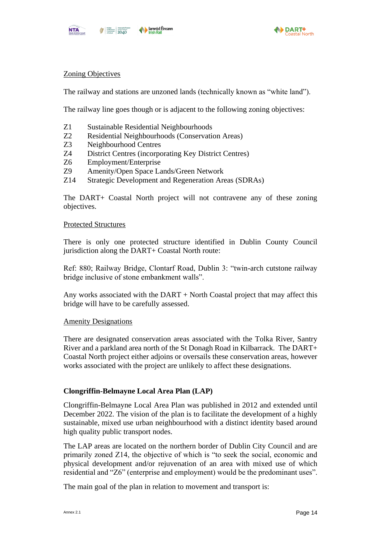



#### Zoning Objectives

The railway and stations are unzoned lands (technically known as "white land").

The railway line goes though or is adjacent to the following zoning objectives:

- Z1 Sustainable Residential Neighbourhoods
- Z2 Residential Neighbourhoods (Conservation Areas)
- Z3 Neighbourhood Centres
- Z4 District Centres (incorporating Key District Centres)
- Z6 Employment/Enterprise
- Z9 Amenity/Open Space Lands/Green Network
- Z14 Strategic Development and Regeneration Areas (SDRAs)

The DART+ Coastal North project will not contravene any of these zoning objectives.

#### Protected Structures

There is only one protected structure identified in Dublin County Council jurisdiction along the DART+ Coastal North route:

Ref: 880; Railway Bridge, Clontarf Road, Dublin 3: "twin-arch cutstone railway bridge inclusive of stone embankment walls".

Any works associated with the DART + North Coastal project that may affect this bridge will have to be carefully assessed.

#### Amenity Designations

There are designated conservation areas associated with the Tolka River, Santry River and a parkland area north of the St Donagh Road in Kilbarrack. The DART+ Coastal North project either adjoins or oversails these conservation areas, however works associated with the project are unlikely to affect these designations.

#### **Clongriffin-Belmayne Local Area Plan (LAP)**

Clongriffin-Belmayne Local Area Plan was published in 2012 and extended until December 2022. The vision of the plan is to facilitate the development of a highly sustainable, mixed use urban neighbourhood with a distinct identity based around high quality public transport nodes.

The LAP areas are located on the northern border of Dublin City Council and are primarily zoned Z14, the objective of which is "to seek the social, economic and physical development and/or rejuvenation of an area with mixed use of which residential and "Z6" (enterprise and employment) would be the predominant uses".

The main goal of the plan in relation to movement and transport is: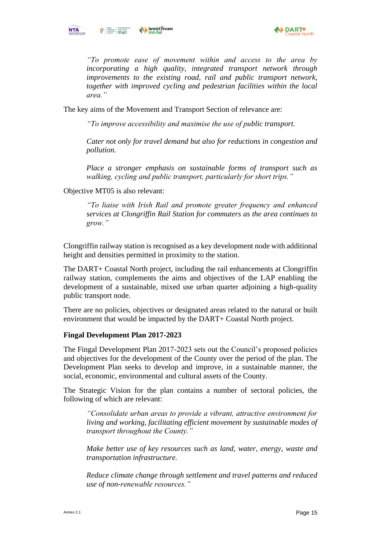

*"To promote ease of movement within and access to the area by incorporating a high quality, integrated transport network through improvements to the existing road, rail and public transport network, together with improved cycling and pedestrian facilities within the local area."*

The key aims of the Movement and Transport Section of relevance are:

*"To improve accessibility and maximise the use of public transport.* 

*Cater not only for travel demand but also for reductions in congestion and pollution.* 

*Place a stronger emphasis on sustainable forms of transport such as walking, cycling and public transport, particularly for short trips."*

Objective MT05 is also relevant:

*"To liaise with Irish Rail and promote greater frequency and enhanced services at Clongriffin Rail Station for commuters as the area continues to grow."*

Clongriffin railway station is recognised as a key development node with additional height and densities permitted in proximity to the station.

The DART+ Coastal North project, including the rail enhancements at Clongriffin railway station, complements the aims and objectives of the LAP enabling the development of a sustainable, mixed use urban quarter adjoining a high-quality public transport node.

There are no policies, objectives or designated areas related to the natural or built environment that would be impacted by the DART+ Coastal North project.

#### **Fingal Development Plan 2017-2023**

The Fingal Development Plan 2017-2023 sets out the Council's proposed policies and objectives for the development of the County over the period of the plan. The Development Plan seeks to develop and improve, in a sustainable manner, the social, economic, environmental and cultural assets of the County.

The Strategic Vision for the plan contains a number of sectoral policies, the following of which are relevant:

*"Consolidate urban areas to provide a vibrant, attractive environment for living and working, facilitating efficient movement by sustainable modes of transport throughout the County."*

*Make better use of key resources such as land, water, energy, waste and transportation infrastructure.* 

*Reduce climate change through settlement and travel patterns and reduced use of non-renewable resources."*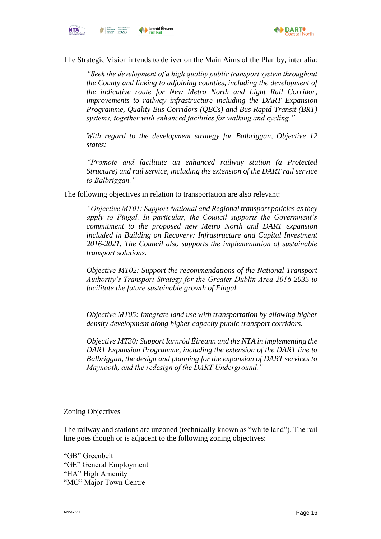



The Strategic Vision intends to deliver on the Main Aims of the Plan by, inter alia:

*"Seek the development of a high quality public transport system throughout the County and linking to adjoining counties, including the development of the indicative route for New Metro North and Light Rail Corridor, improvements to railway infrastructure including the DART Expansion Programme, Quality Bus Corridors (QBCs) and Bus Rapid Transit (BRT) systems, together with enhanced facilities for walking and cycling."*

*With regard to the development strategy for Balbriggan, Objective 12 states:*

*"Promote and facilitate an enhanced railway station (a Protected Structure) and rail service, including the extension of the DART rail service to Balbriggan."*

The following objectives in relation to transportation are also relevant:

*"Objective MT01: Support National and Regional transport policies as they apply to Fingal. In particular, the Council supports the Government's commitment to the proposed new Metro North and DART expansion included in Building on Recovery: Infrastructure and Capital Investment 2016-2021. The Council also supports the implementation of sustainable transport solutions.* 

*Objective MT02: Support the recommendations of the National Transport Authority's Transport Strategy for the Greater Dublin Area 2016-2035 to facilitate the future sustainable growth of Fingal.*

*Objective MT05: Integrate land use with transportation by allowing higher density development along higher capacity public transport corridors.*

*Objective MT30: Support Iarnród Éireann and the NTA in implementing the DART Expansion Programme, including the extension of the DART line to Balbriggan, the design and planning for the expansion of DART services to Maynooth, and the redesign of the DART Underground."*

#### Zoning Objectives

The railway and stations are unzoned (technically known as "white land"). The rail line goes though or is adjacent to the following zoning objectives:

"GB" Greenbelt "GE" General Employment "HA" High Amenity "MC" Major Town Centre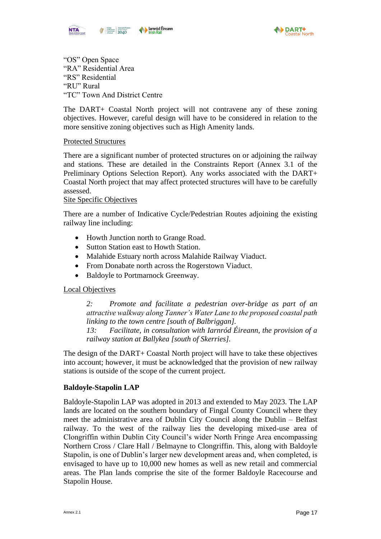



"OS" Open Space "RA" Residential Area "RS" Residential "RU" Rural "TC" Town And District Centre

The DART+ Coastal North project will not contravene any of these zoning objectives. However, careful design will have to be considered in relation to the more sensitive zoning objectives such as High Amenity lands.

#### Protected Structures

There are a significant number of protected structures on or adjoining the railway and stations. These are detailed in the Constraints Report (Annex 3.1 of the Preliminary Options Selection Report). Any works associated with the DART+ Coastal North project that may affect protected structures will have to be carefully assessed.

#### Site Specific Objectives

There are a number of Indicative Cycle/Pedestrian Routes adjoining the existing railway line including:

- Howth Junction north to Grange Road.
- Sutton Station east to Howth Station.
- Malahide Estuary north across Malahide Railway Viaduct.
- From Donabate north across the Rogerstown Viaduct.
- Baldoyle to Portmarnock Greenway.

#### Local Objectives

*2: Promote and facilitate a pedestrian over-bridge as part of an attractive walkway along Tanner's Water Lane to the proposed coastal path linking to the town centre [south of Balbriggan].*

*13: Facilitate, in consultation with Iarnród Éireann, the provision of a railway station at Ballykea [south of Skerries].*

The design of the DART+ Coastal North project will have to take these objectives into account; however, it must be acknowledged that the provision of new railway stations is outside of the scope of the current project.

#### **Baldoyle-Stapolin LAP**

Baldoyle-Stapolin LAP was adopted in 2013 and extended to May 2023. The LAP lands are located on the southern boundary of Fingal County Council where they meet the administrative area of Dublin City Council along the Dublin – Belfast railway. To the west of the railway lies the developing mixed-use area of Clongriffin within Dublin City Council's wider North Fringe Area encompassing Northern Cross / Clare Hall / Belmayne to Clongriffin. This, along with Baldoyle Stapolin, is one of Dublin's larger new development areas and, when completed, is envisaged to have up to 10,000 new homes as well as new retail and commercial areas. The Plan lands comprise the site of the former Baldoyle Racecourse and Stapolin House.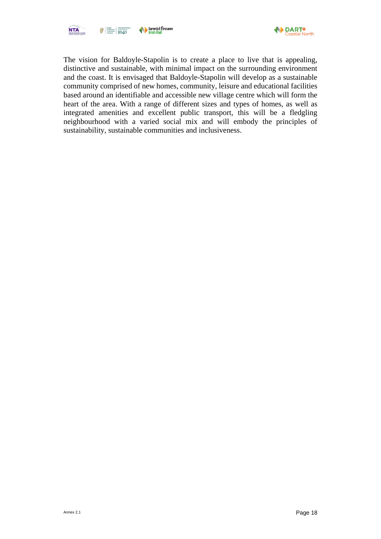



The vision for Baldoyle-Stapolin is to create a place to live that is appealing, distinctive and sustainable, with minimal impact on the surrounding environment and the coast. It is envisaged that Baldoyle-Stapolin will develop as a sustainable community comprised of new homes, community, leisure and educational facilities based around an identifiable and accessible new village centre which will form the heart of the area. With a range of different sizes and types of homes, as well as integrated amenities and excellent public transport, this will be a fledgling neighbourhood with a varied social mix and will embody the principles of sustainability, sustainable communities and inclusiveness.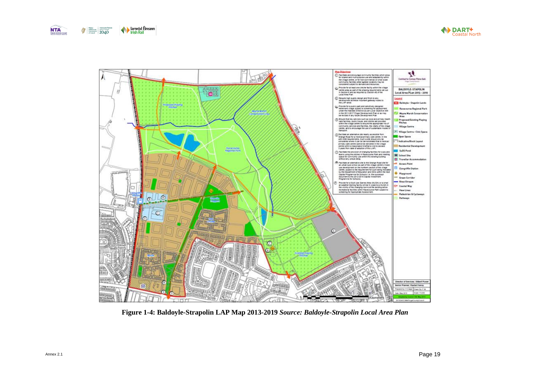





<span id="page-20-0"></span>**Figure 1-4: Baldoyle-Strapolin LAP Map 2013-2019** *Source: Baldoyle-Strapolin Local Area Plan*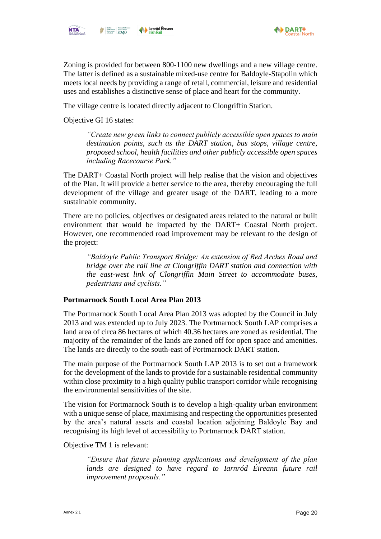



Zoning is provided for between 800-1100 new dwellings and a new village centre. The latter is defined as a sustainable mixed-use centre for Baldoyle-Stapolin which meets local needs by providing a range of retail, commercial, leisure and residential uses and establishes a distinctive sense of place and heart for the community.

The village centre is located directly adjacent to Clongriffin Station.

Objective GI 16 states:

*"Create new green links to connect publicly accessible open spaces to main destination points, such as the DART station, bus stops, village centre, proposed school, health facilities and other publicly accessible open spaces including Racecourse Park."*

The DART+ Coastal North project will help realise that the vision and objectives of the Plan. It will provide a better service to the area, thereby encouraging the full development of the village and greater usage of the DART, leading to a more sustainable community.

There are no policies, objectives or designated areas related to the natural or built environment that would be impacted by the DART+ Coastal North project. However, one recommended road improvement may be relevant to the design of the project:

*"Baldoyle Public Transport Bridge: An extension of Red Arches Road and bridge over the rail line at Clongriffin DART station and connection with the east-west link of Clongriffin Main Street to accommodate buses, pedestrians and cyclists."*

#### **Portmarnock South Local Area Plan 2013**

The Portmarnock South Local Area Plan 2013 was adopted by the Council in July 2013 and was extended up to July 2023. The Portmarnock South LAP comprises a land area of circa 86 hectares of which 40.36 hectares are zoned as residential. The majority of the remainder of the lands are zoned off for open space and amenities. The lands are directly to the south-east of Portmarnock DART station.

The main purpose of the Portmarnock South LAP 2013 is to set out a framework for the development of the lands to provide for a sustainable residential community within close proximity to a high quality public transport corridor while recognising the environmental sensitivities of the site.

The vision for Portmarnock South is to develop a high-quality urban environment with a unique sense of place, maximising and respecting the opportunities presented by the area's natural assets and coastal location adjoining Baldoyle Bay and recognising its high level of accessibility to Portmarnock DART station.

Objective TM 1 is relevant:

*"Ensure that future planning applications and development of the plan*  lands are designed to have regard to Iarnród Éireann future rail *improvement proposals."*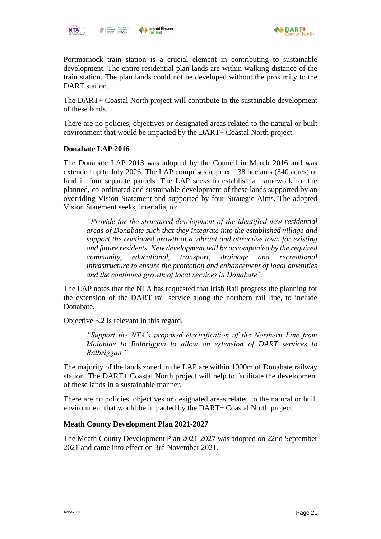



Portmarnock train station is a crucial element in contributing to sustainable development. The entire residential plan lands are within walking distance of the train station. The plan lands could not be developed without the proximity to the DART station.

The DART+ Coastal North project will contribute to the sustainable development of these lands.

There are no policies, objectives or designated areas related to the natural or built environment that would be impacted by the DART+ Coastal North project.

#### **Donabate LAP 2016**

The Donabate LAP 2013 was adopted by the Council in March 2016 and was extended up to July 2026. The LAP comprises approx. 138 hectares (340 acres) of land in four separate parcels. The LAP seeks to establish a framework for the planned, co-ordinated and sustainable development of these lands supported by an overriding Vision Statement and supported by four Strategic Aims. The adopted Vision Statement seeks, inter alia, to:

*"Provide for the structured development of the identified new residential areas of Donabate such that they integrate into the established village and support the continued growth of a vibrant and attractive town for existing and future residents. New development will be accompanied by the required community, educational, transport, drainage and recreational infrastructure to ensure the protection and enhancement of local amenities and the continued growth of local services in Donabate".*

The LAP notes that the NTA has requested that Irish Rail progress the planning for the extension of the DART rail service along the northern rail line, to include Donabate.

Objective 3.2 is relevant in this regard.

*"Support the NTA's proposed electrification of the Northern Line from Malahide to Balbriggan to allow an extension of DART services to Balbriggan."*

The majority of the lands zoned in the LAP are within 1000m of Donabate railway station. The DART+ Coastal North project will help to facilitate the development of these lands in a sustainable manner.

There are no policies, objectives or designated areas related to the natural or built environment that would be impacted by the DART+ Coastal North project.

#### **Meath County Development Plan 2021-2027**

The Meath County Development Plan 2021-2027 was adopted on 22nd September 2021 and came into effect on 3rd November 2021.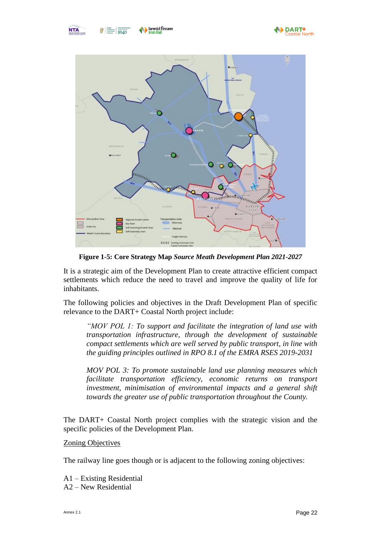



**Figure 1-5: Core Strategy Map** *Source Meath Development Plan 2021-2027*

<span id="page-23-0"></span>It is a strategic aim of the Development Plan to create attractive efficient compact settlements which reduce the need to travel and improve the quality of life for inhabitants.

The following policies and objectives in the Draft Development Plan of specific relevance to the DART+ Coastal North project include:

*"MOV POL 1: To support and facilitate the integration of land use with transportation infrastructure, through the development of sustainable compact settlements which are well served by public transport, in line with the guiding principles outlined in RPO 8.1 of the EMRA RSES 2019-2031*

*MOV POL 3: To promote sustainable land use planning measures which facilitate transportation efficiency, economic returns on transport investment, minimisation of environmental impacts and a general shift towards the greater use of public transportation throughout the County.*

The DART+ Coastal North project complies with the strategic vision and the specific policies of the Development Plan.

#### Zoning Objectives

The railway line goes though or is adjacent to the following zoning objectives:

A1 – Existing Residential A2 – New Residential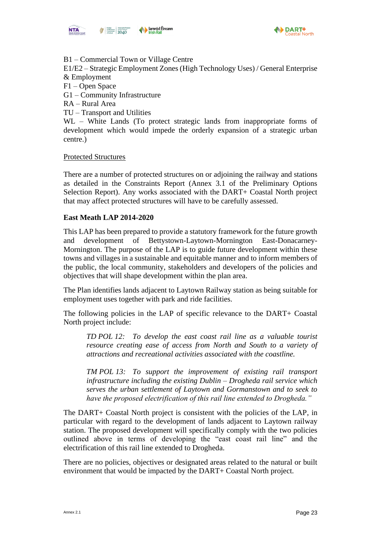



B1 – Commercial Town or Village Centre

E1/E2 – Strategic Employment Zones (High Technology Uses) / General Enterprise & Employment

F1 – Open Space

- G1 Community Infrastructure
- RA Rural Area
- TU Transport and Utilities

WL – White Lands (To protect strategic lands from inappropriate forms of development which would impede the orderly expansion of a strategic urban centre.)

#### Protected Structures

There are a number of protected structures on or adjoining the railway and stations as detailed in the Constraints Report (Annex 3.1 of the Preliminary Options Selection Report). Any works associated with the DART+ Coastal North project that may affect protected structures will have to be carefully assessed.

#### **East Meath LAP 2014-2020**

This LAP has been prepared to provide a statutory framework for the future growth and development of Bettystown-Laytown-Mornington East-Donacarney-Mornington. The purpose of the LAP is to guide future development within these towns and villages in a sustainable and equitable manner and to inform members of the public, the local community, stakeholders and developers of the policies and objectives that will shape development within the plan area.

The Plan identifies lands adjacent to Laytown Railway station as being suitable for employment uses together with park and ride facilities.

The following policies in the LAP of specific relevance to the DART+ Coastal North project include:

*TD POL 12: To develop the east coast rail line as a valuable tourist resource creating ease of access from North and South to a variety of attractions and recreational activities associated with the coastline.*

*TM POL 13: To support the improvement of existing rail transport infrastructure including the existing Dublin – Drogheda rail service which serves the urban settlement of Laytown and Gormanstown and to seek to have the proposed electrification of this rail line extended to Drogheda."*

The DART+ Coastal North project is consistent with the policies of the LAP, in particular with regard to the development of lands adjacent to Laytown railway station. The proposed development will specifically comply with the two policies outlined above in terms of developing the "east coast rail line" and the electrification of this rail line extended to Drogheda.

There are no policies, objectives or designated areas related to the natural or built environment that would be impacted by the DART+ Coastal North project.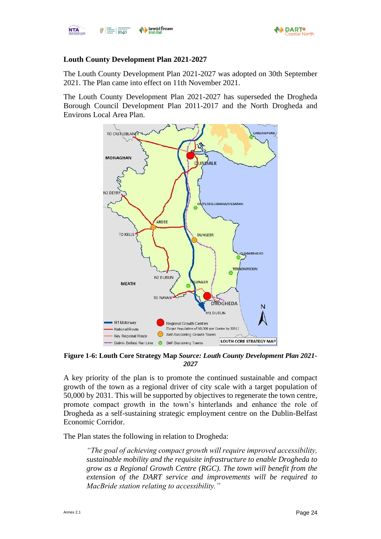

**NTA** 

### **Louth County Development Plan 2021-2027**

The Louth County Development Plan 2021-2027 was adopted on 30th September 2021. The Plan came into effect on 11th November 2021.

The Louth County Development Plan 2021-2027 has superseded the Drogheda Borough Council Development Plan 2011-2017 and the North Drogheda and Environs Local Area Plan.



<span id="page-25-0"></span>**Figure 1-6: Louth Core Strategy Map** *Source: Louth County Development Plan 2021- 2027*

A key priority of the plan is to promote the continued sustainable and compact growth of the town as a regional driver of city scale with a target population of 50,000 by 2031. This will be supported by objectives to regenerate the town centre, promote compact growth in the town's hinterlands and enhance the role of Drogheda as a self-sustaining strategic employment centre on the Dublin-Belfast Economic Corridor.

The Plan states the following in relation to Drogheda:

*"The goal of achieving compact growth will require improved accessibility, sustainable mobility and the requisite infrastructure to enable Drogheda to grow as a Regional Growth Centre (RGC). The town will benefit from the extension of the DART service and improvements will be required to MacBride station relating to accessibility."*